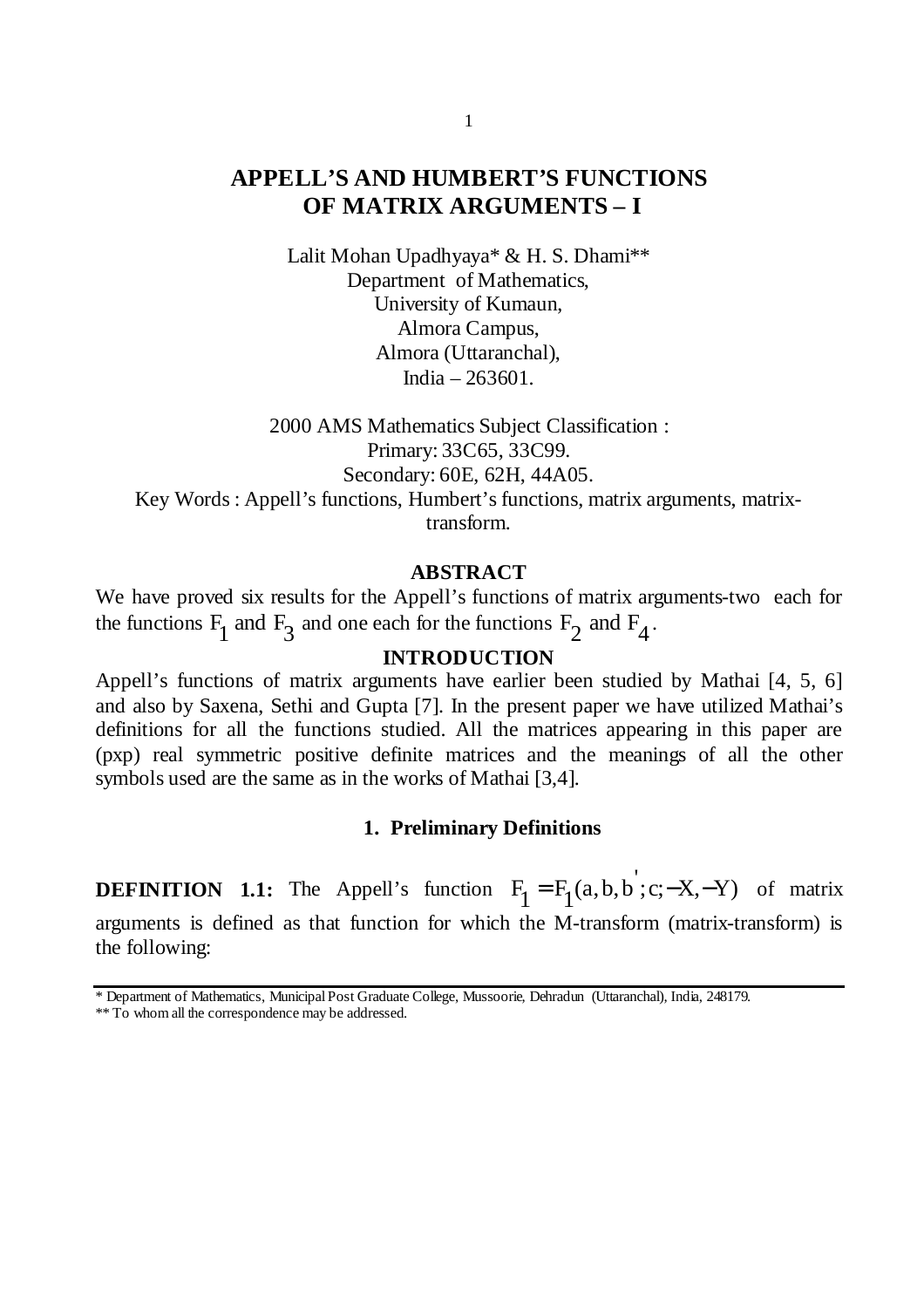# **APPELL'S AND HUMBERT'S FUNCTIONS OF MATRIX ARGUMENTS – I**

Lalit Mohan Upadhyaya\* & H. S. Dhami\*\* Department of Mathematics, University of Kumaun, Almora Campus, Almora (Uttaranchal), India – 263601.

2000 AMS Mathematics Subject Classification : Primary: 33C65, 33C99. Secondary: 60E, 62H, 44A05. Key Words : Appell's functions, Humbert's functions, matrix arguments, matrixtransform.

### **ABSTRACT**

We have proved six results for the Appell's functions of matrix arguments-two each for the functions  $F_1$  and  $F_3$  and one each for the functions  $F_2$  and  $F_4$ .

# **INTRODUCTION**

Appell's functions of matrix arguments have earlier been studied by Mathai [4, 5, 6] and also by Saxena, Sethi and Gupta [7]. In the present paper we have utilized Mathai's definitions for all the functions studied. All the matrices appearing in this paper are (pxp) real symmetric positive definite matrices and the meanings of all the other symbols used are the same as in the works of Mathai [3,4].

#### **1. Preliminary Definitions**

**DEFINITION 1.1:** The Appell's function  $F_1 = F_1(a, b, b'; c; -X, -Y)$  of matrix arguments is defined as that function for which the M-transform (matrix-transform) is the following:

<sup>\*</sup> Department of Mathematics, Municipal Post Graduate College, Mussoorie, Dehradun (Uttaranchal), India, 248179.

<sup>\*\*</sup> To whom all the correspondence may be addressed.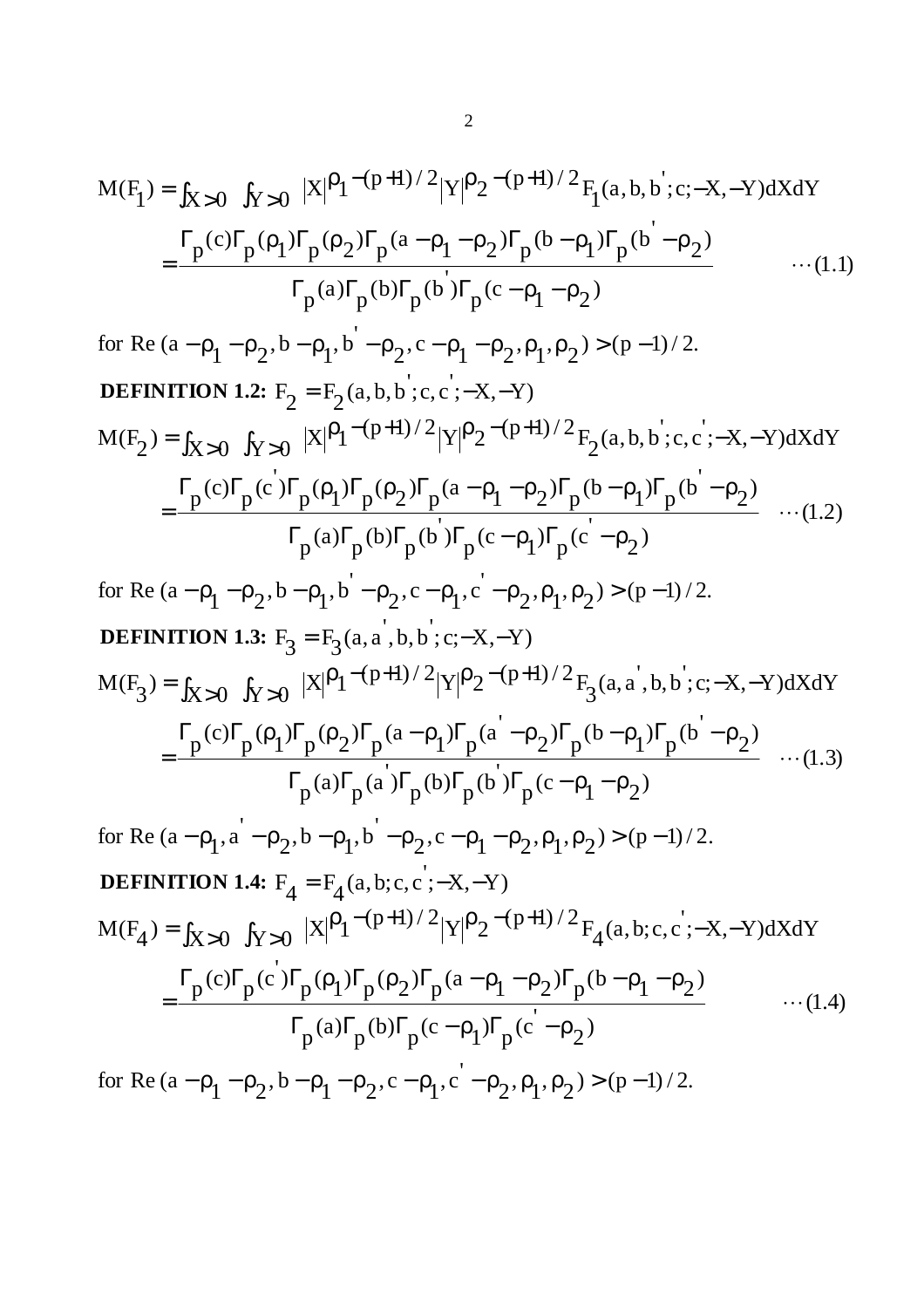$$
M(F_1) = \int_{X>0} \int_{Y>0} |X|^{\rho_1 - (p+1)/2} |Y|^{\rho_2 - (p+1)/2} F_1(a, b, b'; c; -X, -Y) dX dY
$$
  
= 
$$
\frac{\Gamma_p(c)\Gamma_p(\rho_1)\Gamma_p(\rho_2)\Gamma_p(a - \rho_1 - \rho_2)\Gamma_p(b - \rho_1)\Gamma_p(b' - \rho_2)}{\Gamma_p(a)\Gamma_p(b)\Gamma_p(b')\Gamma_p(c - \rho_1 - \rho_2)} \qquad \qquad \dots (1.1)
$$

for Re (a-
$$
p_1
$$
- $p_2$ , b- $p_1$ , b - $p_2$ , c- $p_1$ - $p_2$ ,  $p_1$ ,  $p_2$ ) > (p-1)/2.  
\n**DEFINITION 1.2:**  $F_2 = F_2(a,b,b;c,c;-X,-Y)$   
\n
$$
M(F_2) = \int_{X>0} \int_{Y>0} |X|^p P_1^{-(p+1)/2} |Y|^p P_2^{-(p+1)/2} F_2(a,b,b;c,c;-X,-Y) dX dY
$$
\n
$$
= \frac{\Gamma_p(c)\Gamma_p(c')\Gamma_p(p_1)\Gamma_p(p_2)\Gamma_p(a-p_1-p_2)\Gamma_p(b-p_1)\Gamma_p(b'-p_2)}{\Gamma_p(a)\Gamma_p(b)\Gamma_p(b')\Gamma_p(c-p_1)\Gamma_p(c'-p_2)} \dots (1.2)
$$
\n
$$
F_p(a)\Gamma_p(b)\Gamma_p(b')\Gamma_p(c-p_1,c'-p_2,p_1,p_2) > (p-1)/2.
$$
\n**DEFINITION 1.3:**  $F_3 = F_3(a,a',b,b;c;-X,-Y)$   
\n
$$
M(F_3) = \int_{X>0} \int_{Y>0} |X|^p P_1^{-(p+1)/2} |Y|^p P_2^{-(p+1)/2} F_3(a,a',b,b;c;-X,-Y) dX dY
$$
\n
$$
= \frac{\Gamma_p(c)\Gamma_p(p_1)\Gamma_p(p_2)\Gamma_p(a-p_1)\Gamma_p(a'-p_2)\Gamma_p(b-p_1)\Gamma_p(b'-p_2)}{\Gamma_p(a)\Gamma_p(a')\Gamma_p(b')\Gamma_p(c-p_1-p_2)} \dots (1.3)
$$
\n
$$
F_p(a)\Gamma_p(a')\Gamma_p(b)\Gamma_p(b')\Gamma_p(c-p_1-p_2)
$$
\nfor Re (a- $p_1$ , a'- $p_2$ , b- $p_1$ , b'- $p_2$ , c- $p_1$ - $p_2$ ,  $p_1$ ,  $p_2$ ) > (p-1)/2.  
\n**DEFINITION 1.4:**  $F_4 = F_4(a,b;c,c;-X,-Y)$   
\n
$$
M(F_4) = \int_{X>0} \int_{Y>0} |X|^p P_1^{-(p+1)/2} |Y|^p P_2^{-(p+1)/2} F
$$

for Re  $(a - \rho_1 - \rho_2, b - \rho_1 - \rho_2, c - \rho_1, c' - \rho_2, \rho_1, \rho_2) > (p-1)/2$ .  $-\rho_1 - \rho_2$ ,  $b - \rho_1 - \rho_2$ ,  $c - \rho_1$ ,  $c - \rho_2$ ,  $\rho_1$ ,  $\rho_2$ ) > (p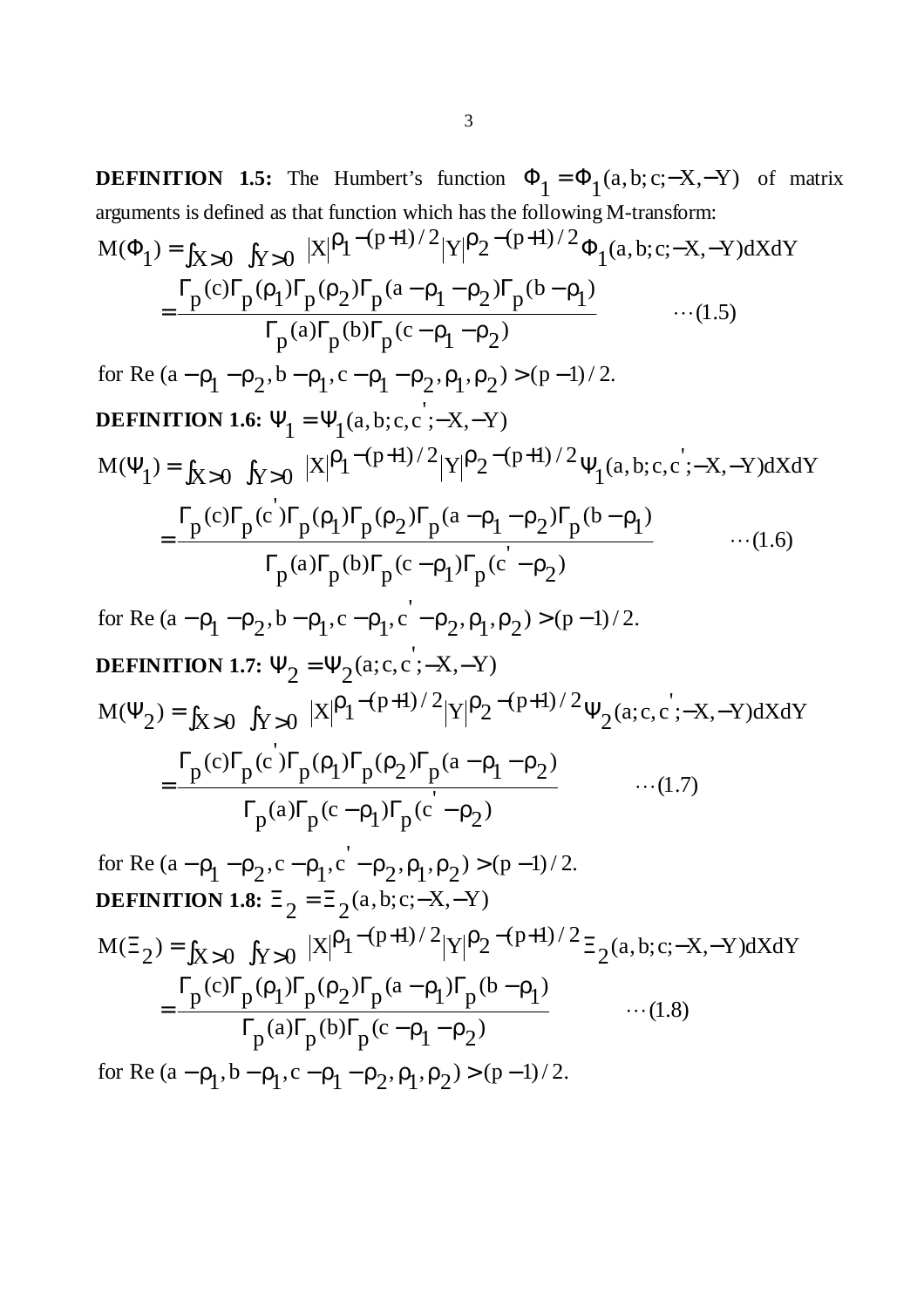**DEFINITION 1.5:** The Humbert's function  $\Phi_1 = \Phi_1(a, b; c; -X, -Y)$  of matrix arguments is defined as that function which has the following M-transform:

$$
M(\Phi_1) = \int_{X>0} \int_{Y>0} |X|^{\rho_1 - (p+1)/2} |Y|^{\rho_2 - (p+1)/2} \Phi_1(a, b; c; -X, -Y) dX dY
$$
  
= 
$$
\frac{\Gamma_p(c)\Gamma_p(\rho_1)\Gamma_p(\rho_2)\Gamma_p(a - \rho_1 - \rho_2)\Gamma_p(b - \rho_1)}{\Gamma_p(a)\Gamma_p(b)\Gamma_p(c - \rho_1 - \rho_2)} \qquad \qquad ...(1.5)
$$

for Re (a-
$$
\rho_1
$$
- $\rho_2$ , b- $\rho_1$ , c- $\rho_1$ - $\rho_2$ , $\rho_1$ , $\rho_2$ ) > (p-1)/2.  
\n**DEFINITION 1.6:**  $\Psi_1 = \Psi_1(a, b; c, c';-X, -Y)$   
\n
$$
M(\Psi_1) = \int_{X>0} \int_{Y>0} |X|^{\rho_1-(p+1)/2} |Y|^{\rho_2-(p+1)/2} \Psi_1(a, b; c, c';-X, -Y) dX dY
$$
\n
$$
= \frac{\Gamma_p(c)\Gamma_p(c')\Gamma_p(\rho_1)\Gamma_p(\rho_2)\Gamma_p(a-\rho_1-\rho_2)\Gamma_p(b-\rho_1)}{\Gamma_p(a)\Gamma_p(b)\Gamma_p(c-\rho_1)\Gamma_p(c'-\rho_2)} \qquad \qquad \dots (1.6)
$$

for Re 
$$
(a - \rho_1 - \rho_2, b - \rho_1, c - \rho_1, c' - \rho_2, \rho_1, \rho_2) > (p-1)/2
$$
.  
DEFINITION 1.7.  $\Psi = \Psi$  (a.e. c' - X - Y)

$$
M(\Psi_2) = \int_{X>0} f_{Y>0} |X|^p 1^{-(p+1)/2} |Y|^p 2^{-(p+1)/2} \Psi_2(a;c,c;-X,-Y)dXdY
$$
  
= 
$$
\frac{\Gamma_p(c)\Gamma_p(c)\Gamma_p(p_1)\Gamma_p(p_2)\Gamma_p(a-p_1-p_2)}{\Gamma_p(a)\Gamma_p(c-p_1)\Gamma_p(c'-p_2)} \qquad \qquad ...(1.7)
$$

for Re (a-
$$
\rho_1
$$
- $\rho_2$ ,c- $\rho_1$ ,c'- $\rho_2$ , $\rho_1$ , $\rho_2$ ) > (p-1)/2.  
\n**DEFINITION 1.8:**  $\Xi_2 = \Xi_2(a,b;c;-X,-Y)$   
\n
$$
M(\Xi_2) = \int_{X>0} \int_{Y>0} |X|^{\rho_1-(p+1)/2} |Y|^{\rho_2-(p+1)/2} \Xi_2(a,b;c;-X,-Y)dXdY
$$
\n
$$
= \frac{\Gamma_p(c)\Gamma_p(\rho_1)\Gamma_p(\rho_2)\Gamma_p(a-\rho_1)\Gamma_p(b-\rho_1)}{\Gamma_p(a)\Gamma_p(b)\Gamma_p(c-\rho_1-\rho_2)} \qquad \qquad \dots (1.8)
$$

for Re  $(a - \rho_1, b - \rho_1, c - \rho_1 - \rho_2, \rho_1, \rho_2) > (p-1)/2$ .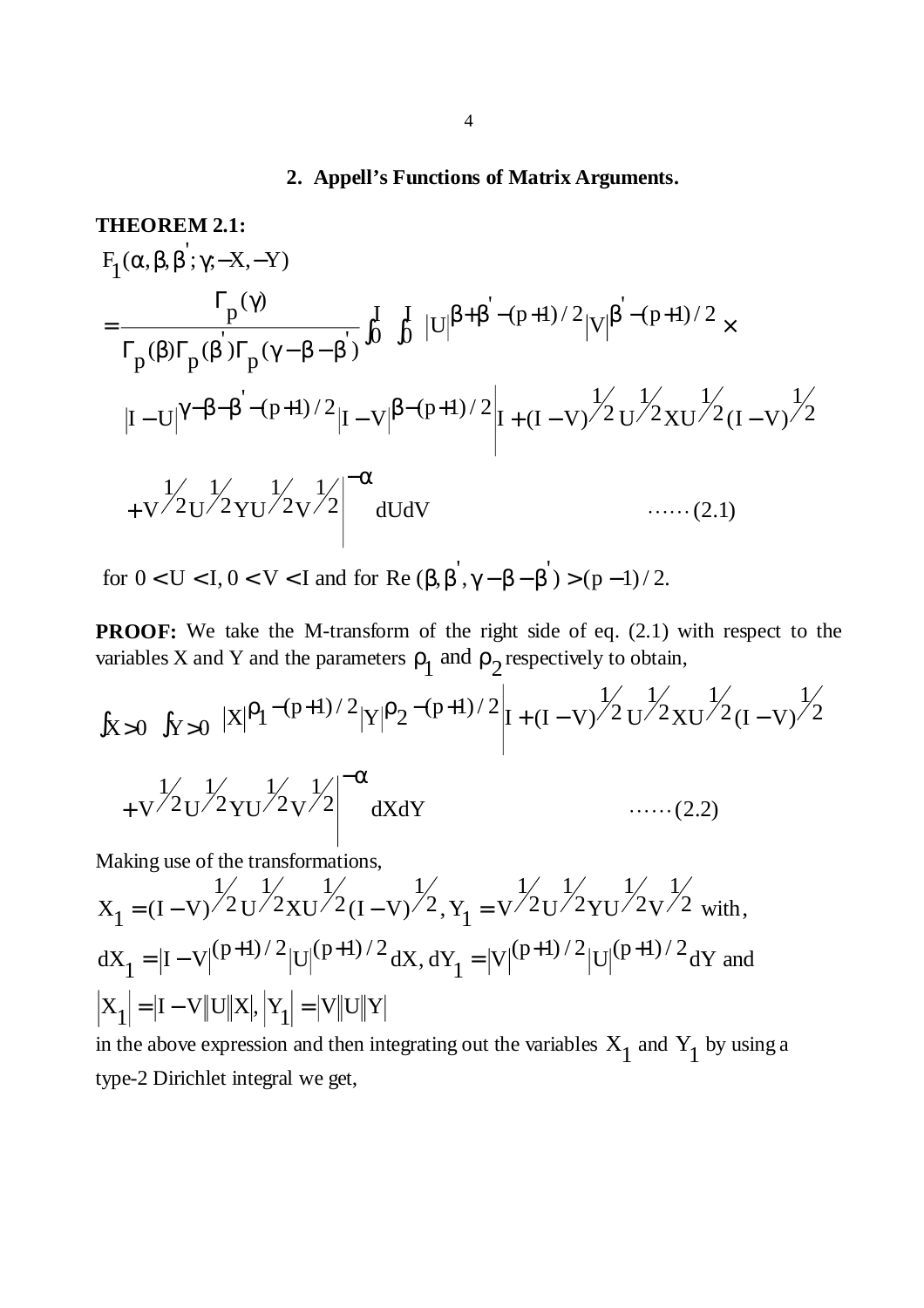# **2. Appell's Functions of Matrix Arguments.**

**THEOREM 2.1:**  
\n
$$
F_{1}(\alpha, \beta, \beta'; \gamma; -X, -Y)
$$
\n
$$
= \frac{\Gamma_{p}(\gamma)}{\Gamma_{p}(\beta)\Gamma_{p}(\beta')\Gamma_{p}(\gamma - \beta - \beta')} \int_{0}^{I} \int_{0}^{I} |U|^{\beta + \beta' - (p+1)/2} |V|^{\beta' - (p+1)/2} \times
$$
\n
$$
|I - U|^{\gamma - \beta - \beta' - (p+1)/2} |I - V|^{\beta - (p+1)/2} |I + (I - V)^{\frac{1}{2}} U^{\frac{1}{2}} X U^{\frac{1}{2}} (I - V)^{\frac{1}{2}}
$$
\n
$$
+ V^{\frac{1}{2}} U^{\frac{1}{2}} Y U^{\frac{1}{2}} V^{\frac{1}{2}} V^{\frac{1}{2}} |U|^{2} W
$$
\n...(2.1)

for  $0 < U < I$ ,  $0 < V < I$  and for Re  $(\beta, \beta^{'}, \gamma - \beta - \beta^{'}) > (p - 1)/2$ .

**PROOF:** We take the M-transform of the right side of eq. (2.1) with respect to the variables X and Y and the parameters  $\rho_1$  and  $\rho_2$  respectively to obtain,

$$
\int_{X>0} \int_{Y>0} |X|^{\rho_1 - (p+1)/2} |Y|^{\rho_2 - (p+1)/2} \Big| I + (I - V)^{\frac{1}{\sqrt{2}}} U^{\frac{1}{\sqrt{2}}} X U^{\frac{1}{\sqrt{2}}} (I - V)^{\frac{1}{\sqrt{2}}}
$$

$$
+V \frac{1}{2} V \frac{1}{2} V V \frac{1}{2} V^{2} \left| \frac{1}{2} V \right|^{2} dX dY
$$
 ......(2.2)

Making use of the transformations,

$$
X_1 = (I - V)^{\frac{1}{2}} U^{\frac{1}{2}} X U^{\frac{1}{2}} (I - V)^{\frac{1}{2}} Y_1 = V^{\frac{1}{2}} U^{\frac{1}{2}} Y U^{\frac{1}{2}} V^{\frac{1}{2}} W
$$
  
\n
$$
dX_1 = |I - V|^{(p+1)/2} |U|^{(p+1)/2} dX, dY_1 = |V|^{(p+1)/2} |U|^{(p+1)/2} dY \text{ and }
$$
  
\n
$$
|X_1| = |I - V| |U| |X|, |Y_1| = |V| |U| |Y|
$$

in the above expression and then integrating out the variables  $X_1$  and  $Y_1$  by using a type-2 Dirichlet integral we get,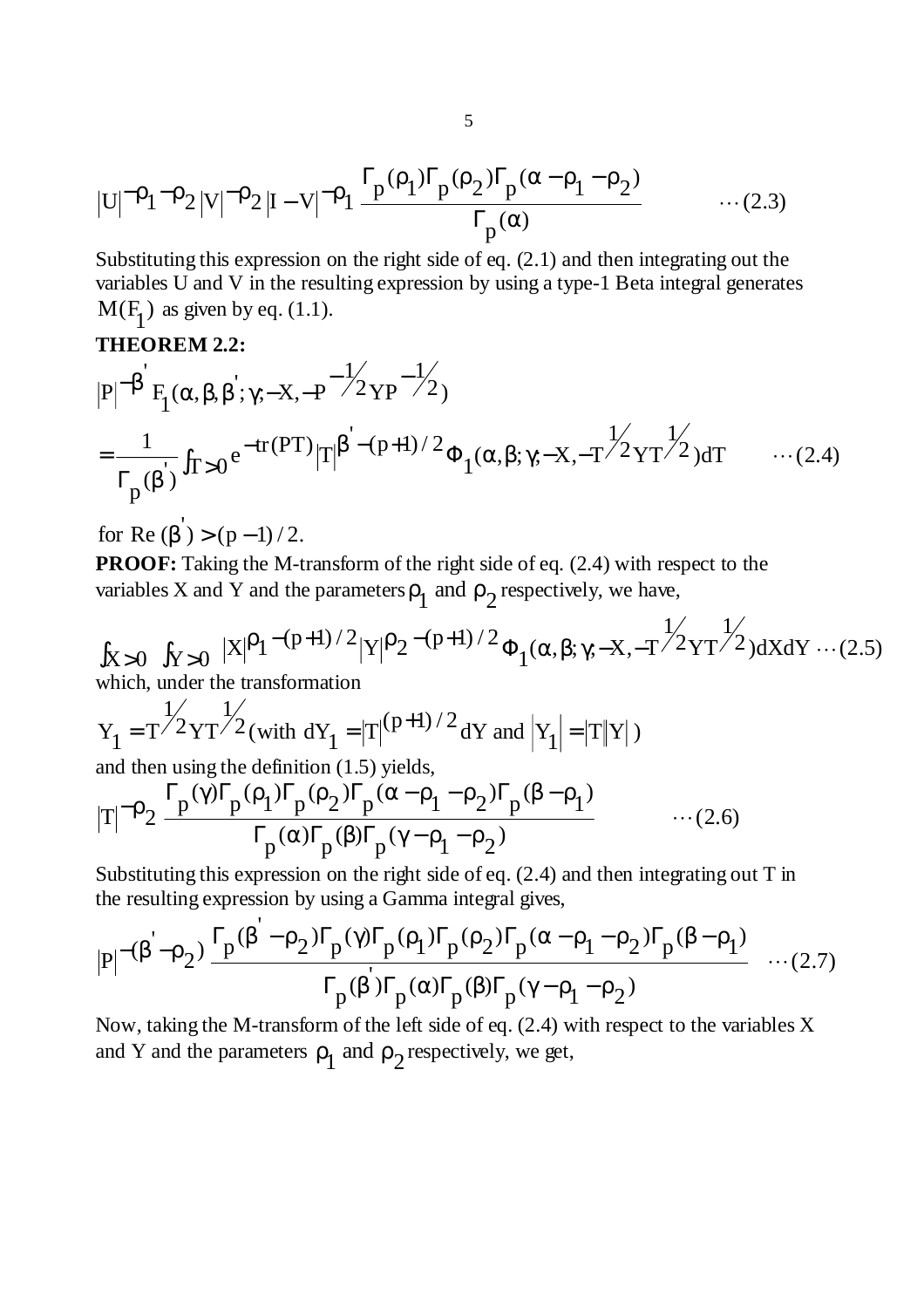$$
|U|^{-\rho}1^{-\rho}2|V|^{-\rho}2|I-V|^{-\rho}1\frac{\Gamma_p(\rho_1)\Gamma_p(\rho_2)\Gamma_p(\alpha-\rho_1-\rho_2)}{\Gamma_p(\alpha)}\qquad\qquad\cdots(2.3)
$$

Substituting this expression on the right side of eq. (2.1) and then integrating out the variables U and V in the resulting expression by using a type-1 Beta integral generates  $M(F_1)$  as given by eq. (1.1).

### **THEOREM 2.2:**

$$
|P|^{-\beta'} F_1(\alpha, \beta, \beta'; \gamma; -X, -P^{-\frac{1}{2}} Y P^{-\frac{1}{2}})
$$
  
=  $\frac{1}{\Gamma_p(\beta')} f_{T>0} e^{-tr(PT)} |T|^{\beta' - (p+1)/2} \Phi_1(\alpha, \beta; \gamma; -X, -T^{\frac{1}{2}} Y T^{\frac{1}{2}}) dT$  ... (2.4)

for Re  $(\beta') > (p-1)/2$ .

**PROOF:** Taking the M-transform of the right side of eq. (2.4) with respect to the variables X and Y and the parameters  $\rho_1$  and  $\rho_2$  respectively, we have,

$$
\int_{X>0} \int_{Y>0} |X|^p 1^{-(p+1)/2} |Y|^p 2^{-(p+1)/2} \Phi_1(\alpha, \beta; \gamma; -X, -T^{2}YT^{2}) dX dY \cdots (2.5)
$$
\nwhich under the transformation

which, under the transformation

$$
Y_1 = T^{1/2}YT^{1/2} \text{ (with } dY_1 = |T|^{(p+1)/2} dY \text{ and } |Y_1| = |T||Y| \text{)}
$$

and then using the definition (1.5) yields,  
\n
$$
|T|^{-\rho} 2 \frac{\Gamma_p(\gamma)\Gamma_p(\rho_1)\Gamma_p(\rho_2)\Gamma_p(\alpha-\rho_1-\rho_2)\Gamma_p(\beta-\rho_1)}{\Gamma_p(\alpha)\Gamma_p(\beta)\Gamma_p(\gamma-\rho_1-\rho_2)} \qquad \qquad \dots (2.6)
$$

Substituting this expression on the right side of eq. (2.4) and then integrating out T in the resulting expression by using a Gamma integral gives,

$$
|P|^{-(\beta-\rho_2)} \frac{\Gamma_p(\beta-\rho_2)\Gamma_p(\gamma)\Gamma_p(\rho_1)\Gamma_p(\rho_2)\Gamma_p(\alpha-\rho_1-\rho_2)\Gamma_p(\beta-\rho_1)}{\Gamma_p(\beta)\Gamma_p(\alpha)\Gamma_p(\beta)\Gamma_p(\gamma-\rho_1-\rho_2)} \dots (2.7)
$$

Now, taking the M-transform of the left side of eq. (2.4) with respect to the variables X and Y and the parameters  $\rho_1$  and  $\rho_2$  respectively, we get,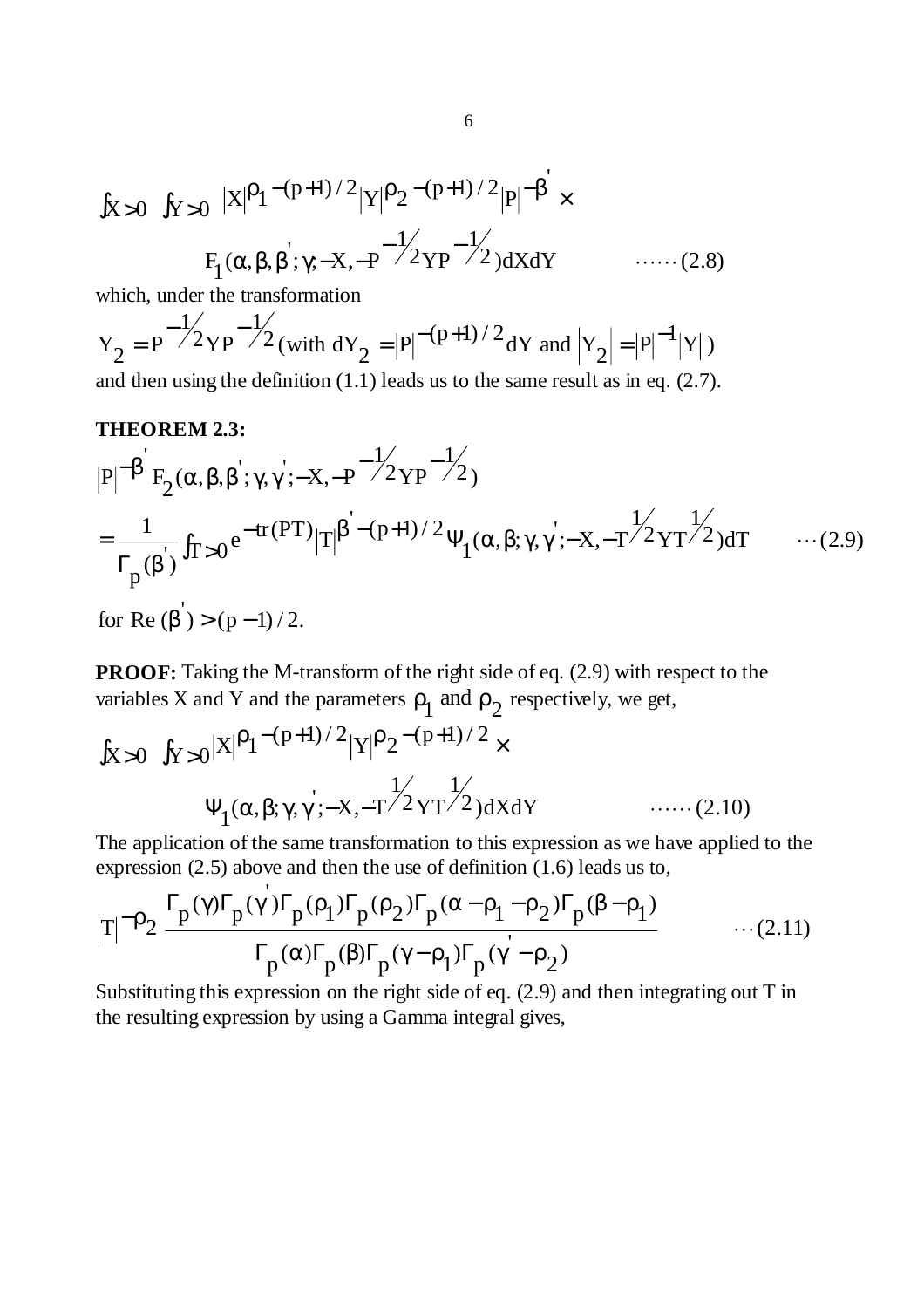$$
\int_{X>0} \int_{Y>0} |X|^{p} 1^{-(p+1)/2} |Y|^{p} 2^{-(p+1)/2} |P|^{-\beta} \times
$$
  
 
$$
F_1(\alpha, \beta, \beta^{'}; \gamma; -X, -P^{-\frac{1}{2}} Y P^{-\frac{1}{2}}) dX dY \qquad \qquad \dots \dots (2.8)
$$

which, under the transformation

 $\sqrt{2}$  (with dY<sub>2</sub> = |P|<sup>-(p+1)/2</sup> dY and  $|Y_2|$  = |P|<sup>-1</sup>|Y|) 1  $2$  $YP$  $Y_2 = P^{-\frac{1}{2}} Y P^{-\frac{1}{2}} ($  with  $dY_2 = |P|^{-(p+1)/2} dY$  and  $|Y_2| = |P|^{-\frac{1}{2}}$ and then using the definition  $(1.1)$  leads us to the same result as in eq.  $(2.7)$ .

#### **THEOREM 2.3:**

$$
|P|^{-\beta'} F_2(\alpha, \beta, \beta'; \gamma, \gamma'; -X, -P^{-\frac{1}{2}} Y P^{-\frac{1}{2}})
$$
  
=  $\frac{1}{\Gamma_p(\beta')} f_{T>0} e^{-tr(PT)} |T|^{\beta' - (p+1)/2} \Psi_1(\alpha, \beta; \gamma, \gamma'; -X, -T^{\frac{1}{2}} Y T^{\frac{1}{2}}) dT$  ... (2.9)

for Re  $(\beta') > (p-1)/2$ .

'

**PROOF:** Taking the M-transform of the right side of eq. (2.9) with respect to the variables X and Y and the parameters  $\rho_1$  and  $\rho_2$  respectively, we get,

$$
\int_{X>0} \int_{Y>0} |X|^{p} 1^{-(p+1)/2} |Y|^{p} 2^{-(p+1)/2} \times
$$
  
\n
$$
\Psi_1(\alpha, \beta; \gamma, \gamma'; -X, -T^{2} 2 Y T^{2}) dX dY \qquad \qquad \dots \dots (2.10)
$$

The application of the same transformation to this expression as we have applied to the expression (2.5) above and then the use of definition (1.6) leads us to,

$$
|T|^{-\rho_2} \frac{\Gamma_p(\gamma)\Gamma_p(\gamma')\Gamma_p(\rho_1)\Gamma_p(\rho_2)\Gamma_p(\alpha-\rho_1-\rho_2)\Gamma_p(\beta-\rho_1)}{\Gamma_p(\alpha)\Gamma_p(\beta)\Gamma_p(\gamma-\rho_1)\Gamma_p(\gamma'-\rho_2)} \qquad \qquad \dots (2.11)
$$

Substituting this expression on the right side of eq. (2.9) and then integrating out T in the resulting expression by using a Gamma integral gives,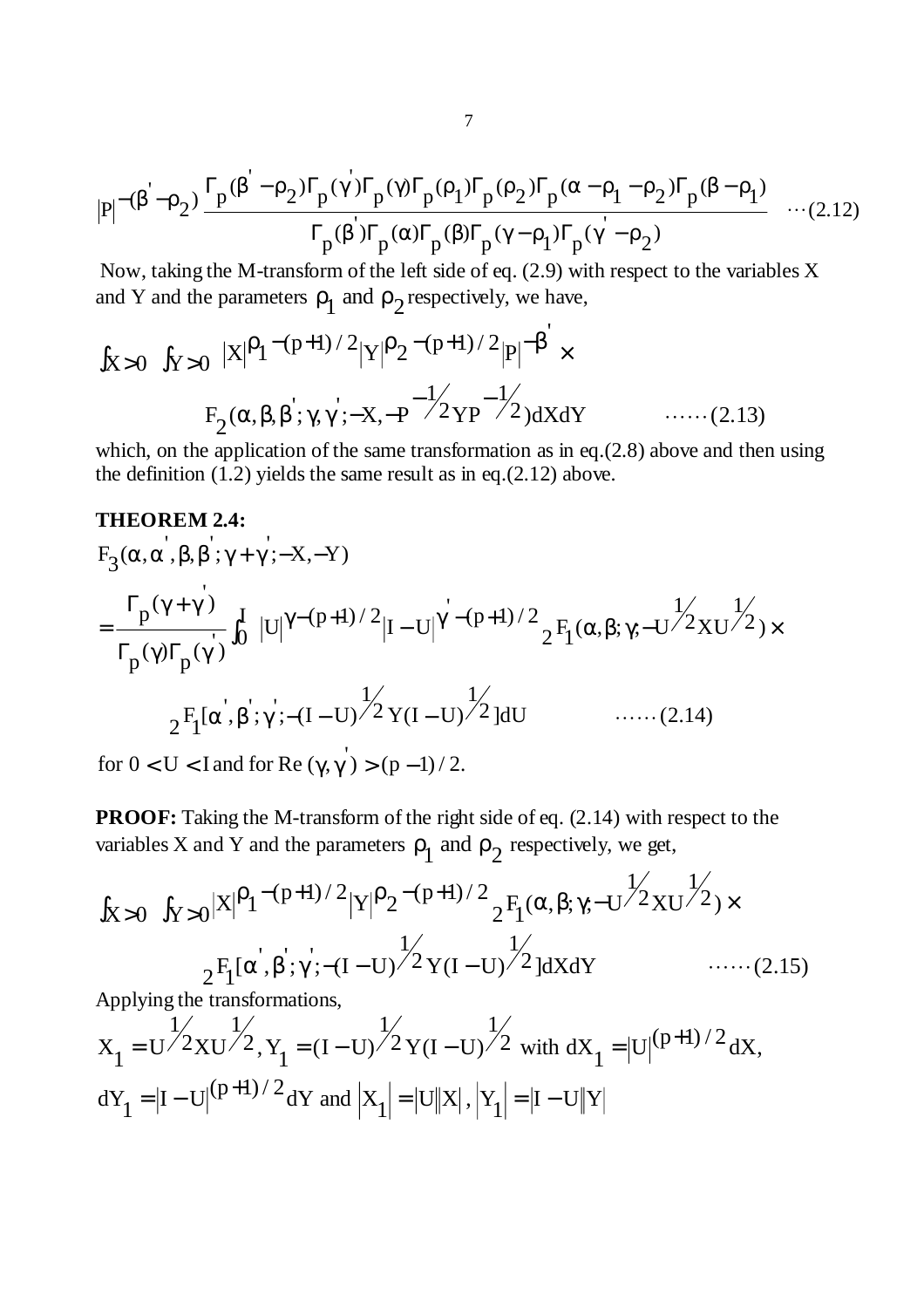$$
|P|^{-(\beta^{'}-\rho_2)}\frac{\Gamma_p(\beta^{'}-\rho_2)\Gamma_p(\gamma^{'})\Gamma_p(\gamma)\Gamma_p(\rho_1)\Gamma_p(\rho_2)\Gamma_p(\alpha-\rho_1-\rho_2)\Gamma_p(\beta-\rho_1)}{\Gamma_p(\beta^{'})\Gamma_p(\alpha)\Gamma_p(\beta)\Gamma_p(\gamma-\rho_1)\Gamma_p(\gamma-\rho_2)}\quad\cdots(2.12)
$$

 Now, taking the M-transform of the left side of eq. (2.9) with respect to the variables X and Y and the parameters  $\rho_1$  and  $\rho_2$  respectively, we have,

$$
\int_{X>0} \int_{Y>0} |X|^{\rho_1 - (p+1)/2} |Y|^{\rho_2 - (p+1)/2} |P|^{-\beta'} \times
$$
  
 
$$
F_2(\alpha, \beta, \beta'; \gamma, \gamma'; -X, -P^{-\frac{1}{2}} Y P^{-\frac{1}{2}}) dX dY \qquad \qquad \dots \dots (2.13)
$$

which, on the application of the same transformation as in eq.(2.8) above and then using the definition  $(1.2)$  yields the same result as in eq.(2.12) above.

## **THEOREM 2.4:**

$$
F_3(\alpha, \alpha^{'}, \beta, \beta^{'}; \gamma + \gamma^{'}; -X, -Y)
$$
\n
$$
= \frac{\Gamma_p(\gamma + \gamma^{'})}{\Gamma_p(\gamma)\Gamma_p(\gamma^{'})} \int_0^I |U|^{\gamma - (p+1)/2} |I - U|^{\gamma^{'} - (p+1)/2} {}_{2}F_1(\alpha, \beta; \gamma; -U^{'})2XU^{'}) \times
$$
\n
$$
{}_{2}F_1[\alpha^{'}, \beta^{'}; \gamma^{'}; -(I - U)^{1/2} Y(I - U)^{1/2}]dU \qquad \qquad \dots \dots (2.14)
$$

for  $0 < U < I$  and for Re  $(\gamma, \gamma') > (p - 1)/2$ .

**PROOF:** Taking the M-transform of the right side of eq.  $(2.14)$  with respect to the variables X and Y and the parameters  $\rho_1$  and  $\rho_2$  respectively, we get,

$$
\int_{X>0} \int_{Y>0} |X|^{\rho_1 - (p+1)/2} |Y|^{\rho_2 - (p+1)/2} \frac{1}{2} F_1(\alpha, \beta; \gamma; -U^{1/2} X U^{1/2}) \times
$$
  
 
$$
{}_{2}F_1[\alpha^{'}, \beta^{'}; \gamma^{'}; -(I-U)^{1/2} Y (I-U)^{1/2}] dX dY \qquad \qquad \dots \dots (2.15)
$$

Applying the transformations,

$$
X_1 = U^{\frac{1}{2}} X U^{\frac{1}{2}}, Y_1 = (I - U)^{\frac{1}{2}} Y (I - U)^{\frac{1}{2}} \text{ with } dX_1 = |U|^{(p+1)/2} dX,
$$
  
\n
$$
dY_1 = |I - U|^{(p+1)/2} dY \text{ and } |X_1| = |U||X|, |Y_1| = |I - U||Y|
$$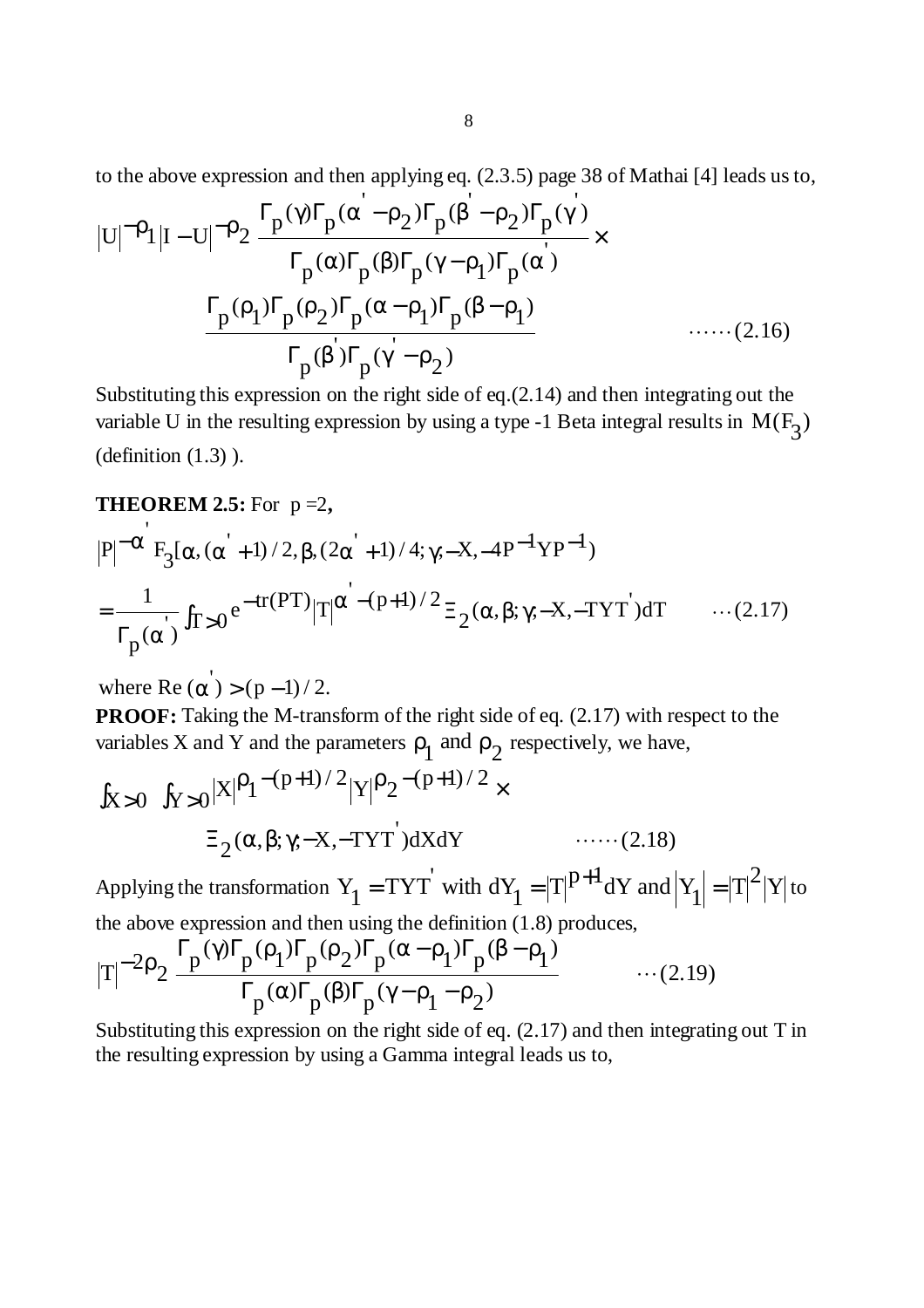to the above expression and then applying eq. (2.3.5) page 38 of Mathai [4] leads us to,

$$
|U|^{-\rho_1}|I-U|^{-\rho_2} \frac{\Gamma_p(\gamma)\Gamma_p(\alpha'-\rho_2)\Gamma_p(\beta'-\rho_2)\Gamma_p(\gamma')}{\Gamma_p(\alpha)\Gamma_p(\beta)\Gamma_p(\gamma-\rho_1)\Gamma_p(\alpha')}
$$
  

$$
\frac{\Gamma_p(\rho_1)\Gamma_p(\rho_2)\Gamma_p(\alpha-\rho_1)\Gamma_p(\beta-\rho_1)}{\Gamma_p(\beta)\Gamma_p(\gamma'-\rho_2)}
$$
 ......(2.16)

Substituting this expression on the right side of eq.(2.14) and then integrating out the variable U in the resulting expression by using a type -1 Beta integral results in  $M(F_2)$ (definition  $(1.3)$ ).

#### **THEOREM 2.5:** For  $p = 2$ ,

$$
|P|^{-\alpha'} F_3[\alpha, (\alpha'+1)/2, \beta, (2\alpha'+1)/4; \gamma;-X, -4P^{-1}YP^{-1})
$$
  
=  $\frac{1}{\Gamma_p(\alpha')}$   $\int_{T>0}^{1} e^{-tr(PT)} |T|^{\alpha' - (p+1)/2} \Xi_2(\alpha, \beta; \gamma; -X, -TYT') dT$  ... (2.17)

where Re  $(\alpha') > (p-1)/2$ .

**PROOF:** Taking the M-transform of the right side of eq.  $(2.17)$  with respect to the variables X and Y and the parameters  $\rho_1$  and  $\rho_2$  respectively, we have,

$$
\int_{X>0} \int_{Y>0} |X|^{p} 1^{-(p+1)/2} |Y|^{p} 2^{-(p+1)/2} \times
$$
  

$$
\Xi_2(\alpha, \beta; \gamma; -X, -TYT') dX dY \qquad \qquad \dots \dots (2.18)
$$

Applying the transformation  $Y_1 = TYT'$  with  $dY_1 = |T|^{p+1} dY$  and  $|Y_1| = |T|^2 |Y|$  to

the above expression and then using the definition (1.8) produces,  
\n
$$
|T|^{-2}\rho_2 \frac{\Gamma_p(\gamma)\Gamma_p(\rho_1)\Gamma_p(\rho_2)\Gamma_p(\alpha-\rho_1)\Gamma_p(\beta-\rho_1)}{\Gamma_p(\alpha)\Gamma_p(\beta)\Gamma_p(\gamma-\rho_1-\rho_2)} \cdots (2.19)
$$

Substituting this expression on the right side of eq. (2.17) and then integrating out T in the resulting expression by using a Gamma integral leads us to,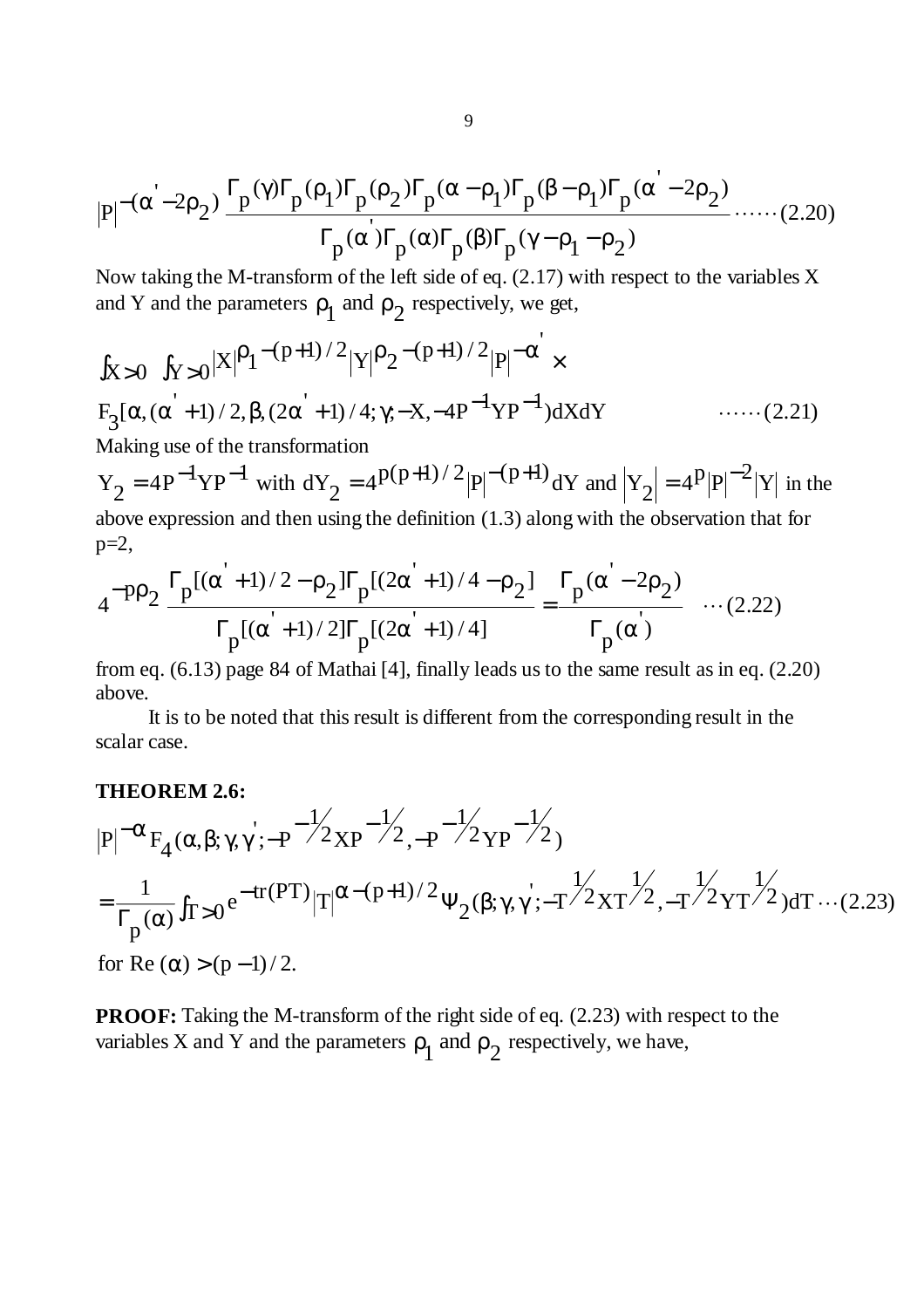$$
|P|^{-(\alpha^{'}-2\rho_{2})}\frac{\Gamma_{p}(\gamma)\Gamma_{p}(\rho_{1})\Gamma_{p}(\rho_{2})\Gamma_{p}(\alpha-\rho_{1})\Gamma_{p}(\beta-\rho_{1})\Gamma_{p}(\alpha^{'}-2\rho_{2})}{\Gamma_{p}(\alpha)\Gamma_{p}(\alpha)\Gamma_{p}(\beta)\Gamma_{p}(\gamma-\rho_{1}-\rho_{2})}\dots(2.20)
$$

Now taking the M-transform of the left side of eq. (2.17) with respect to the variables X and Y and the parameters  $\rho_1$  and  $\rho_2$  respectively, we get,

$$
\int_{X>0} \int_{Y>0} |X|^{p} 1^{-(p+1)/2} |Y|^{p} 2^{-(p+1)/2} |P|^{-\alpha} \times
$$
  
F<sub>3</sub>[ $\alpha$ , ( $\alpha$ <sup>'</sup> + 1)/2,  $\beta$ , (2 $\alpha$ <sup>'</sup> + 1)/4;  $\gamma$ ; -X, -4P<sup>-1</sup>YP<sup>-1</sup>)dXdY  
Making use of the transformation

 $Y_2 = 4P^{-1}YP^{-1}$  with  $dY_2 = 4P^{(p+1)/2} |P|^{-(p+1)} dY$  and  $|Y_2| = 4P |P|^{-2} |Y|$  in the above expression and then using the definition (1.3) along with the observation that for  $p=2$ ,

$$
4^{-p\rho_2} \frac{\Gamma_p[(\alpha^{'}+1)/2 - \rho_2]\Gamma_p[(2\alpha^{'}+1)/4 - \rho_2]}{\Gamma_p[(\alpha^{'}+1)/2]\Gamma_p[(2\alpha^{'}+1)/4]} = \frac{\Gamma_p(\alpha^{'}-2\rho_2)}{\Gamma_p(\alpha)}, \quad \dots (2.22)
$$

from eq. (6.13) page 84 of Mathai [4], finally leads us to the same result as in eq. (2.20) above.

 It is to be noted that this result is different from the corresponding result in the scalar case.

#### **THEOREM 2.6:**

$$
|P|^{-\alpha} F_4(\alpha, \beta; \gamma, \gamma'; -P^{-\frac{1}{2}} \chi P^{-\frac{1}{2}} - P^{-\frac{1}{2}} \chi P^{-\frac{1}{2}})
$$
  
=  $\frac{1}{\Gamma_p(\alpha)} \int_{T>0} e^{-tr(PT)} |T|^{\alpha-(p+1)/2} \Psi_2(\beta; \gamma, \gamma'; -T^{\frac{1}{2}} \chi T^{\frac{1}{2}} - P^{-\frac{1}{2}} \chi T^{-\frac{1}{2}}) dT \cdots (2.23)$   
for Re  $(\alpha) > (p-1)/2$ .

**PROOF:** Taking the M-transform of the right side of eq. (2.23) with respect to the variables X and Y and the parameters  $\rho_1$  and  $\rho_2$  respectively, we have,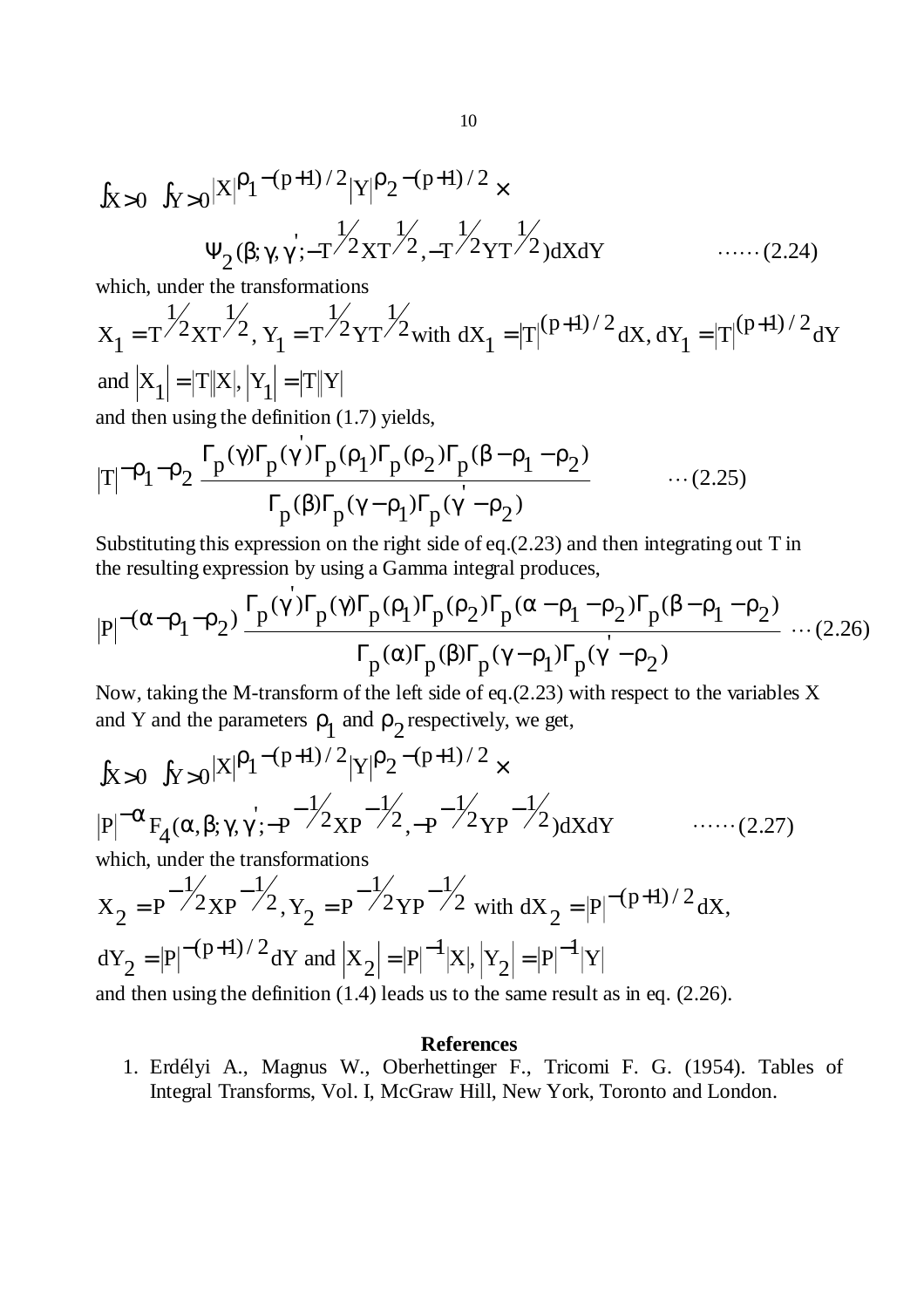$$
\int_{X>0} \int_{Y>0} |X|^{p} 1^{-(p+1)/2} |Y|^{p} 2^{-(p+1)/2} \times \Psi_2(\beta; \gamma, \gamma; -T^{2} 2XT^{2} , -T^{2} 2YT^{2}) dX dY \qquad \qquad \dots \dots (2.24)
$$

which, under the transformations

$$
X_1 = T^{1/2}XT^{1/2}, Y_1 = T^{1/2}YT^{1/2} with dX_1 = |T|^{(p+1)/2}dX, dY_1 = |T|^{(p+1)/2}dY
$$
  
and  $|X_1| = |T||X|, |Y_1| = |T||Y|$   
and then using the definition (1.7) yields,

$$
|T|^{-\rho_1-\rho_2} \frac{\Gamma_p(\gamma)\Gamma_p(\gamma)\Gamma_p(\rho_1)\Gamma_p(\rho_2)\Gamma_p(\beta-\rho_1-\rho_2)}{\Gamma_p(\beta)\Gamma_p(\gamma-\rho_1)\Gamma_p(\gamma-\rho_2)} \qquad \qquad \dots (2.25)
$$

Substituting this expression on the right side of eq.(2.23) and then integrating out T in the resulting expression by using a Gamma integral produces,

$$
|P|^{-(\alpha-\rho_1-\rho_2)} \frac{\Gamma_p(\gamma)\Gamma_p(\gamma)\Gamma_p(\rho_1)\Gamma_p(\rho_2)\Gamma_p(\alpha-\rho_1-\rho_2)\Gamma_p(\beta-\rho_1-\rho_2)}{\Gamma_p(\alpha)\Gamma_p(\beta)\Gamma_p(\gamma-\rho_1)\Gamma_p(\gamma-\rho_2)} \dots (2.26)
$$

Now, taking the M-transform of the left side of eq.(2.23) with respect to the variables X and Y and the parameters  $\rho_1$  and  $\rho_2$  respectively, we get,

$$
\int_{X>0} \int_{Y>0} |X|^{p} 1^{-(p+1)/2} |Y|^{p} 2^{-(p+1)/2} \times
$$
\n
$$
|P|^{-\alpha} F_{4}(\alpha, \beta; \gamma, \gamma'; -P^{-\frac{1}{2}} \chi_{P}^{-\frac{1}{2}} \chi_{P}^{-\frac{1}{2}} \chi_{P}^{-\frac{1}{2}} \chi_{P}^{-\frac{1}{2}} \chi_{P}^{-\frac{1}{2}} \chi_{P}^{-\frac{1}{2}} \chi_{P}^{-\frac{1}{2}} \chi_{P}^{-\frac{1}{2}} \chi_{P}^{-\frac{1}{2}} \chi_{P}^{-\frac{1}{2}} \chi_{P}^{-\frac{1}{2}} \chi_{P}^{-\frac{1}{2}} \chi_{P}^{-\frac{1}{2}} \chi_{P}^{-\frac{1}{2}} \chi_{P}^{-\frac{1}{2}} \chi_{P}^{-\frac{1}{2}} \chi_{P}^{-\frac{1}{2}} \chi_{P}^{-\frac{1}{2}} \chi_{P}^{-\frac{1}{2}} \chi_{P}^{-\frac{1}{2}} \chi_{P}^{-\frac{1}{2}} \chi_{P}^{-\frac{1}{2}} \chi_{P}^{-\frac{1}{2}} \chi_{P}^{-\frac{1}{2}} \chi_{P}^{-\frac{1}{2}} \chi_{P}^{-\frac{1}{2}} \chi_{P}^{-\frac{1}{2}} \chi_{P}^{-\frac{1}{2}} \chi_{P}^{-\frac{1}{2}} \chi_{P}^{-\frac{1}{2}} \chi_{P}^{-\frac{1}{2}} \chi_{P}^{-\frac{1}{2}} \chi_{P}^{-\frac{1}{2}} \chi_{P}^{-\frac{1}{2}} \chi_{P}^{-\frac{1}{2}} \chi_{P}^{-\frac{1}{2}} \chi_{P}^{-\frac{1}{2}} \chi_{P}^{-\frac{1}{2}} \chi_{P}^{-\frac{1}{2}} \chi_{P}^{-\frac{1}{2}} \chi_{P}^{-\frac{1}{2}} \chi_{P}^{-\frac{1}{2}} \chi_{P}^{-\frac{1}{2}} \chi_{P}^{-\frac{1}{2}} \chi_{P}^{-\frac{1}{2}} \chi_{P}^{-\frac{1}{2}} \chi_{P}^{-\frac{1}{2}} \chi_{P}^{-\frac{1}{2}} \chi_{P}^{-\frac{1}{2}} \chi_{P}^{-\frac{1}{2}} \chi_{P}^{-\frac{1}{2}} \chi_{P}^{-
$$

and then using the definition (1.4) leads us to the same result as in eq. (2.26).

#### **References**

1. Erdélyi A., Magnus W., Oberhettinger F., Tricomi F. G. (1954). Tables of Integral Transforms, Vol. I, McGraw Hill, New York, Toronto and London.